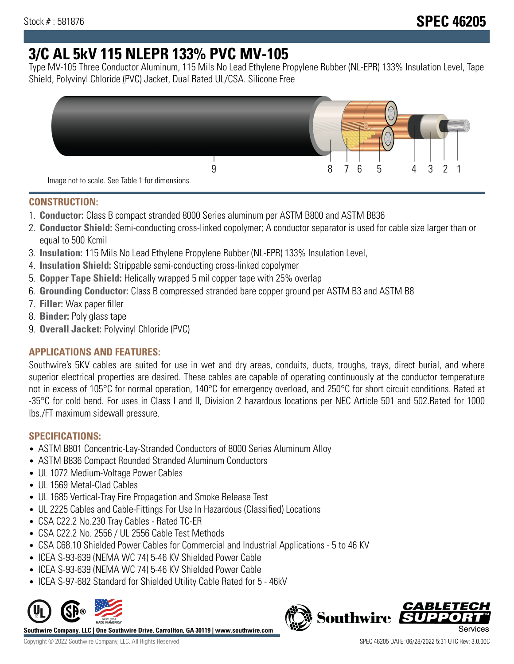# **3/C AL 5kV 115 NLEPR 133% PVC MV-105**

Type MV-105 Three Conductor Aluminum, 115 Mils No Lead Ethylene Propylene Rubber (NL-EPR) 133% Insulation Level, Tape Shield, Polyvinyl Chloride (PVC) Jacket, Dual Rated UL/CSA. Silicone Free



#### **CONSTRUCTION:**

- 1. **Conductor:** Class B compact stranded 8000 Series aluminum per ASTM B800 and ASTM B836
- 2. **Conductor Shield:** Semi-conducting cross-linked copolymer; A conductor separator is used for cable size larger than or equal to 500 Kcmil
- 3. **Insulation:** 115 Mils No Lead Ethylene Propylene Rubber (NL-EPR) 133% Insulation Level,
- 4. **Insulation Shield:** Strippable semi-conducting cross-linked copolymer
- 5. **Copper Tape Shield:** Helically wrapped 5 mil copper tape with 25% overlap
- 6. **Grounding Conductor:** Class B compressed stranded bare copper ground per ASTM B3 and ASTM B8
- 7. **Filler:** Wax paper filler
- 8. **Binder:** Poly glass tape
- 9. **Overall Jacket:** Polyvinyl Chloride (PVC)

# **APPLICATIONS AND FEATURES:**

Southwire's 5KV cables are suited for use in wet and dry areas, conduits, ducts, troughs, trays, direct burial, and where superior electrical properties are desired. These cables are capable of operating continuously at the conductor temperature not in excess of 105°C for normal operation, 140°C for emergency overload, and 250°C for short circuit conditions. Rated at -35°C for cold bend. For uses in Class I and II, Division 2 hazardous locations per NEC Article 501 and 502.Rated for 1000 lbs./FT maximum sidewall pressure.

# **SPECIFICATIONS:**

- ASTM B801 Concentric-Lay-Stranded Conductors of 8000 Series Aluminum Alloy
- ASTM B836 Compact Rounded Stranded Aluminum Conductors
- UL 1072 Medium-Voltage Power Cables
- UL 1569 Metal-Clad Cables
- UL 1685 Vertical-Tray Fire Propagation and Smoke Release Test
- UL 2225 Cables and Cable-Fittings For Use In Hazardous (Classified) Locations
- CSA C22.2 No.230 Tray Cables Rated TC-ER
- CSA C22.2 No. 2556 / UL 2556 Cable Test Methods
- CSA C68.10 Shielded Power Cables for Commercial and Industrial Applications 5 to 46 KV
- ICEA S-93-639 (NEMA WC 74) 5-46 KV Shielded Power Cable
- ICEA S-93-639 (NEMA WC 74) 5-46 KV Shielded Power Cable
- ICEA S-97-682 Standard for Shielded Utility Cable Rated for 5 46kV



**Southwire Company, LLC | One Southwire Drive, Carrollton, GA 30119 | www.southwire.com**